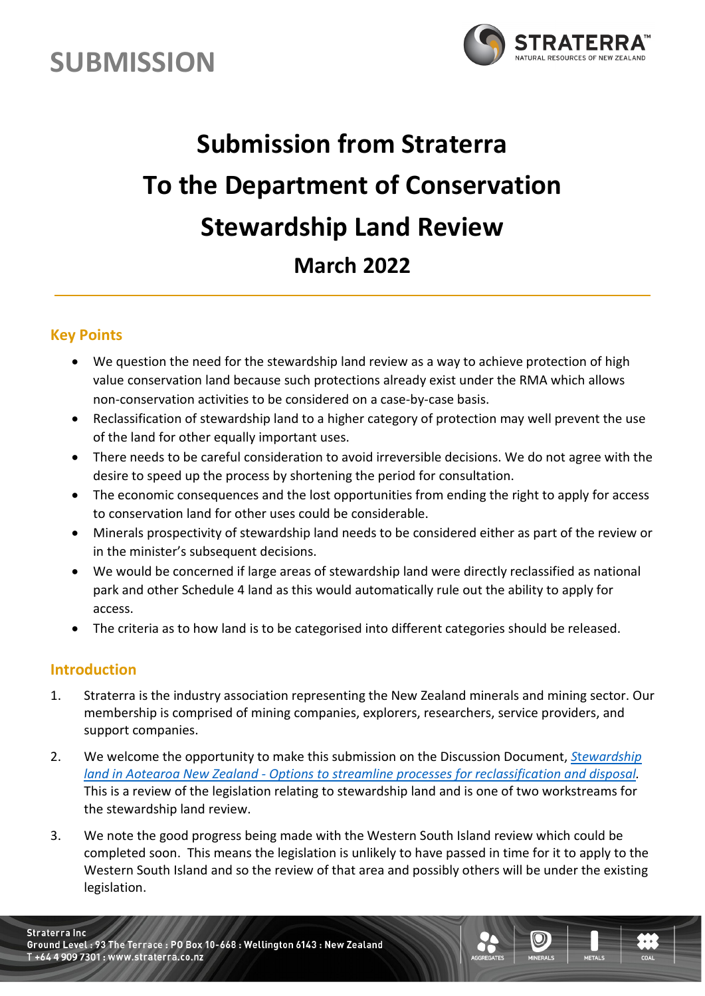



# **Submission from Straterra To the Department of Conservation Stewardship Land Review March 2022**

### **Key Points**

- We question the need for the stewardship land review as a way to achieve protection of high value conservation land because such protections already exist under the RMA which allows non-conservation activities to be considered on a case-by-case basis.
- Reclassification of stewardship land to a higher category of protection may well prevent the use of the land for other equally important uses.
- There needs to be careful consideration to avoid irreversible decisions. We do not agree with the desire to speed up the process by shortening the period for consultation.
- The economic consequences and the lost opportunities from ending the right to apply for access to conservation land for other uses could be considerable.
- Minerals prospectivity of stewardship land needs to be considered either as part of the review or in the minister's subsequent decisions.
- We would be concerned if large areas of stewardship land were directly reclassified as national park and other Schedule 4 land as this would automatically rule out the ability to apply for access.
- The criteria as to how land is to be categorised into different categories should be released.

### **Introduction**

- 1. Straterra is the industry association representing the New Zealand minerals and mining sector. Our membership is comprised of mining companies, explorers, researchers, service providers, and support companies.
- 2. We welcome the opportunity to make this submission on the Discussion Document, *S*t*[ewardship](https://www.doc.govt.nz/contentassets/da0356b16be34484924dbbf6a2c2c831/stewardship-land-discussion-document-november-2021.pdf)  [land in Aotearoa New Zealand - Options to streamline processes for reclassification and disposal.](https://www.doc.govt.nz/contentassets/da0356b16be34484924dbbf6a2c2c831/stewardship-land-discussion-document-november-2021.pdf)* This is a review of the legislation relating to stewardship land and is one of two workstreams for the stewardship land review.
- 3. We note the good progress being made with the Western South Island review which could be completed soon. This means the legislation is unlikely to have passed in time for it to apply to the Western South Island and so the review of that area and possibly others will be under the existing legislation.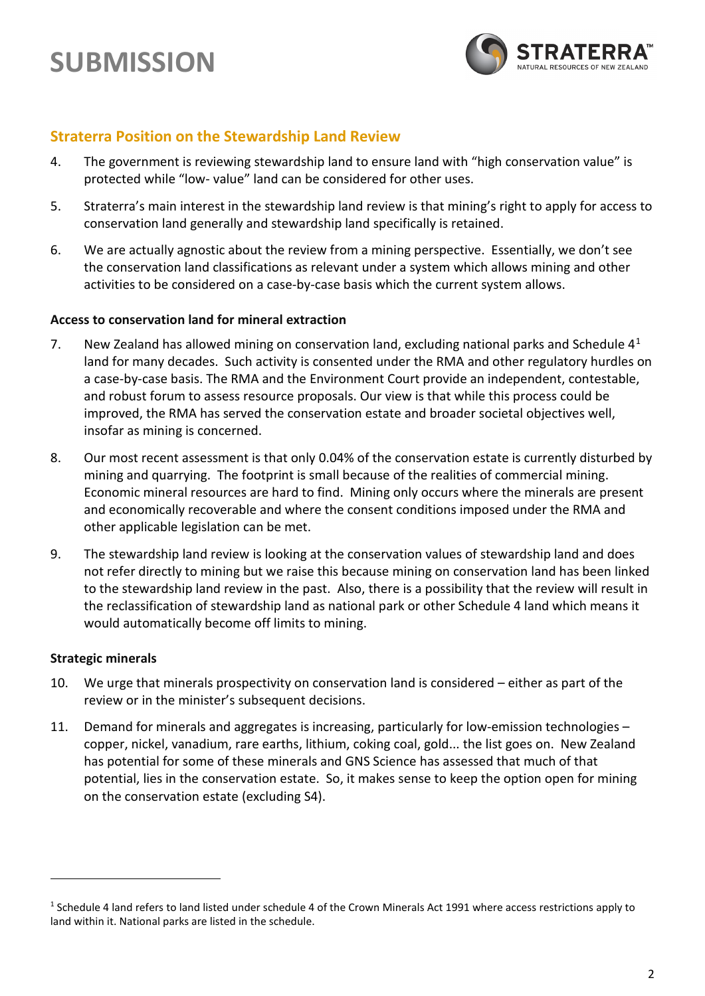

### **Straterra Position on the Stewardship Land Review**

- 4. The government is reviewing stewardship land to ensure land with "high conservation value" is protected while "low- value" land can be considered for other uses.
- 5. Straterra's main interest in the stewardship land review is that mining's right to apply for access to conservation land generally and stewardship land specifically is retained.
- 6. We are actually agnostic about the review from a mining perspective. Essentially, we don't see the conservation land classifications as relevant under a system which allows mining and other activities to be considered on a case-by-case basis which the current system allows.

### **Access to conservation land for mineral extraction**

- 7. New Zealand has allowed mining on conservation land, excluding national parks and Schedule  $4<sup>1</sup>$  $4<sup>1</sup>$  $4<sup>1</sup>$ land for many decades. Such activity is consented under the RMA and other regulatory hurdles on a case-by-case basis. The RMA and the Environment Court provide an independent, contestable, and robust forum to assess resource proposals. Our view is that while this process could be improved, the RMA has served the conservation estate and broader societal objectives well, insofar as mining is concerned.
- 8. Our most recent assessment is that only 0.04% of the conservation estate is currently disturbed by mining and quarrying. The footprint is small because of the realities of commercial mining. Economic mineral resources are hard to find. Mining only occurs where the minerals are present and economically recoverable and where the consent conditions imposed under the RMA and other applicable legislation can be met.
- 9. The stewardship land review is looking at the conservation values of stewardship land and does not refer directly to mining but we raise this because mining on conservation land has been linked to the stewardship land review in the past. Also, there is a possibility that the review will result in the reclassification of stewardship land as national park or other Schedule 4 land which means it would automatically become off limits to mining.

### **Strategic minerals**

- 10. We urge that minerals prospectivity on conservation land is considered either as part of the review or in the minister's subsequent decisions.
- 11. Demand for minerals and aggregates is increasing, particularly for low-emission technologies copper, nickel, vanadium, rare earths, lithium, coking coal, gold... the list goes on. New Zealand has potential for some of these minerals and GNS Science has assessed that much of that potential, lies in the conservation estate. So, it makes sense to keep the option open for mining on the conservation estate (excluding S4).

<span id="page-1-0"></span> $1$  Schedule 4 land refers to land listed under schedule 4 of the Crown Minerals Act 1991 where access restrictions apply to land within it. National parks are listed in the schedule.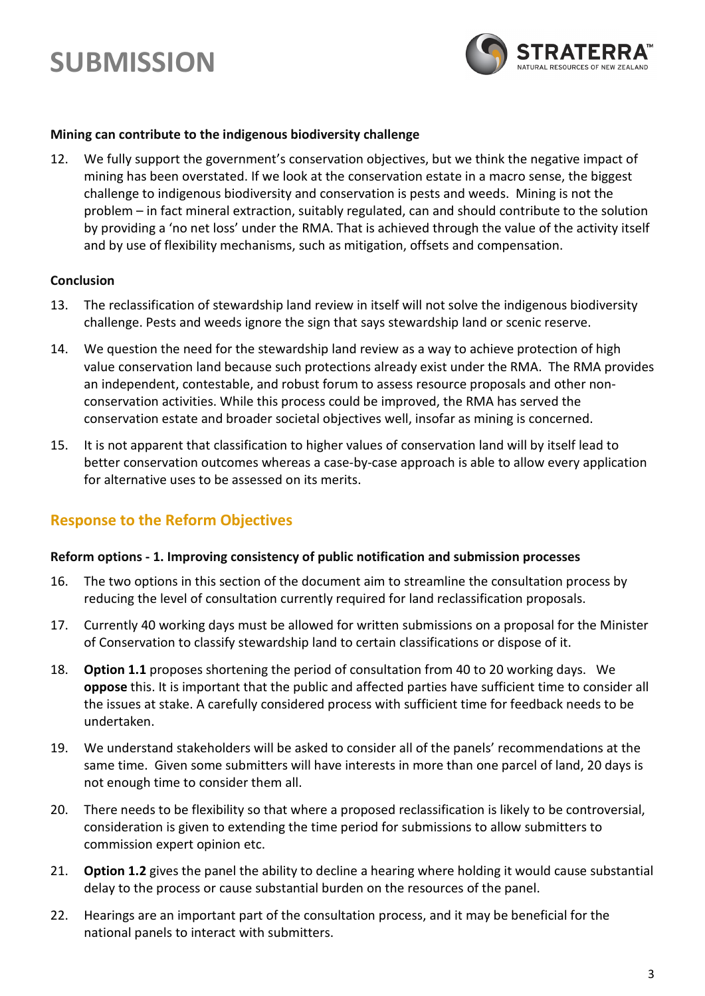

#### **Mining can contribute to the indigenous biodiversity challenge**

12. We fully support the government's conservation objectives, but we think the negative impact of mining has been overstated. If we look at the conservation estate in a macro sense, the biggest challenge to indigenous biodiversity and conservation is pests and weeds. Mining is not the problem – in fact mineral extraction, suitably regulated, can and should contribute to the solution by providing a 'no net loss' under the RMA. That is achieved through the value of the activity itself and by use of flexibility mechanisms, such as mitigation, offsets and compensation.

### **Conclusion**

- 13. The reclassification of stewardship land review in itself will not solve the indigenous biodiversity challenge. Pests and weeds ignore the sign that says stewardship land or scenic reserve.
- 14. We question the need for the stewardship land review as a way to achieve protection of high value conservation land because such protections already exist under the RMA. The RMA provides an independent, contestable, and robust forum to assess resource proposals and other nonconservation activities. While this process could be improved, the RMA has served the conservation estate and broader societal objectives well, insofar as mining is concerned.
- 15. It is not apparent that classification to higher values of conservation land will by itself lead to better conservation outcomes whereas a case-by-case approach is able to allow every application for alternative uses to be assessed on its merits.

### **Response to the Reform Objectives**

#### **Reform options - 1. Improving consistency of public notification and submission processes**

- 16. The two options in this section of the document aim to streamline the consultation process by reducing the level of consultation currently required for land reclassification proposals.
- 17. Currently 40 working days must be allowed for written submissions on a proposal for the Minister of Conservation to classify stewardship land to certain classifications or dispose of it.
- 18. **Option 1.1** proposes shortening the period of consultation from 40 to 20 working days. We **oppose** this. It is important that the public and affected parties have sufficient time to consider all the issues at stake. A carefully considered process with sufficient time for feedback needs to be undertaken.
- 19. We understand stakeholders will be asked to consider all of the panels' recommendations at the same time. Given some submitters will have interests in more than one parcel of land, 20 days is not enough time to consider them all.
- 20. There needs to be flexibility so that where a proposed reclassification is likely to be controversial, consideration is given to extending the time period for submissions to allow submitters to commission expert opinion etc.
- 21. **Option 1.2** gives the panel the ability to decline a hearing where holding it would cause substantial delay to the process or cause substantial burden on the resources of the panel.
- 22. Hearings are an important part of the consultation process, and it may be beneficial for the national panels to interact with submitters.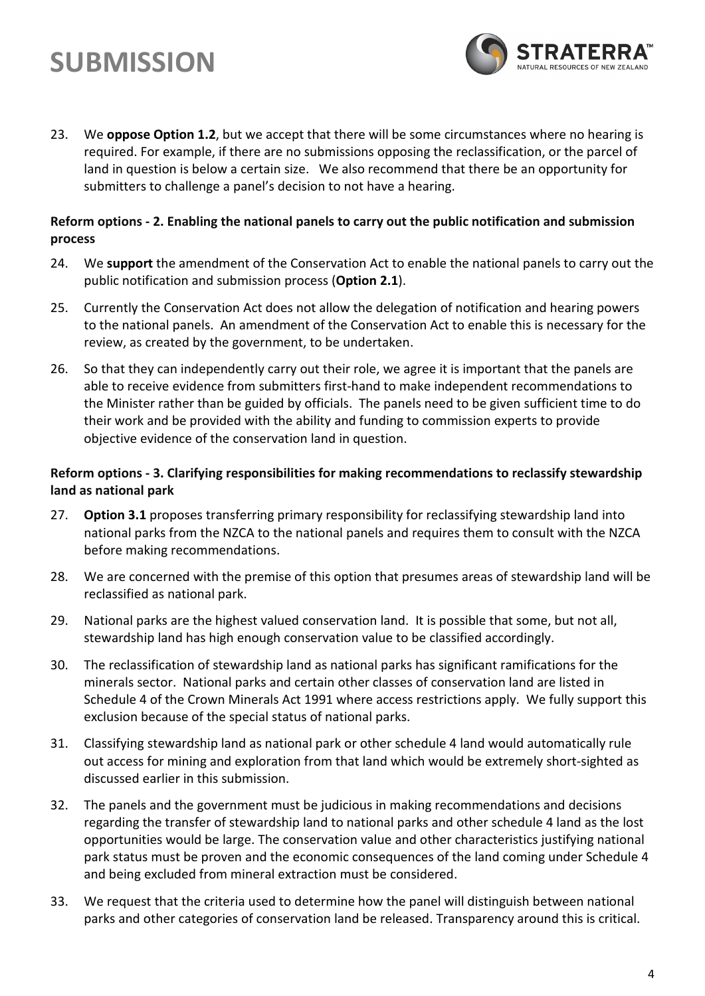# **SUBMISSION**

23. We **oppose Option 1.2**, but we accept that there will be some circumstances where no hearing is required. For example, if there are no submissions opposing the reclassification, or the parcel of land in question is below a certain size. We also recommend that there be an opportunity for submitters to challenge a panel's decision to not have a hearing.

### **Reform options - 2. Enabling the national panels to carry out the public notification and submission process**

- 24. We **support** the amendment of the Conservation Act to enable the national panels to carry out the public notification and submission process (**Option 2.1**).
- 25. Currently the Conservation Act does not allow the delegation of notification and hearing powers to the national panels. An amendment of the Conservation Act to enable this is necessary for the review, as created by the government, to be undertaken.
- 26. So that they can independently carry out their role, we agree it is important that the panels are able to receive evidence from submitters first-hand to make independent recommendations to the Minister rather than be guided by officials. The panels need to be given sufficient time to do their work and be provided with the ability and funding to commission experts to provide objective evidence of the conservation land in question.

### **Reform options - 3. Clarifying responsibilities for making recommendations to reclassify stewardship land as national park**

- 27. **Option 3.1** proposes transferring primary responsibility for reclassifying stewardship land into national parks from the NZCA to the national panels and requires them to consult with the NZCA before making recommendations.
- 28. We are concerned with the premise of this option that presumes areas of stewardship land will be reclassified as national park.
- 29. National parks are the highest valued conservation land. It is possible that some, but not all, stewardship land has high enough conservation value to be classified accordingly.
- 30. The reclassification of stewardship land as national parks has significant ramifications for the minerals sector. National parks and certain other classes of conservation land are listed in Schedule 4 of the Crown Minerals Act 1991 where access restrictions apply. We fully support this exclusion because of the special status of national parks.
- 31. Classifying stewardship land as national park or other schedule 4 land would automatically rule out access for mining and exploration from that land which would be extremely short-sighted as discussed earlier in this submission.
- 32. The panels and the government must be judicious in making recommendations and decisions regarding the transfer of stewardship land to national parks and other schedule 4 land as the lost opportunities would be large. The conservation value and other characteristics justifying national park status must be proven and the economic consequences of the land coming under Schedule 4 and being excluded from mineral extraction must be considered.
- 33. We request that the criteria used to determine how the panel will distinguish between national parks and other categories of conservation land be released. Transparency around this is critical.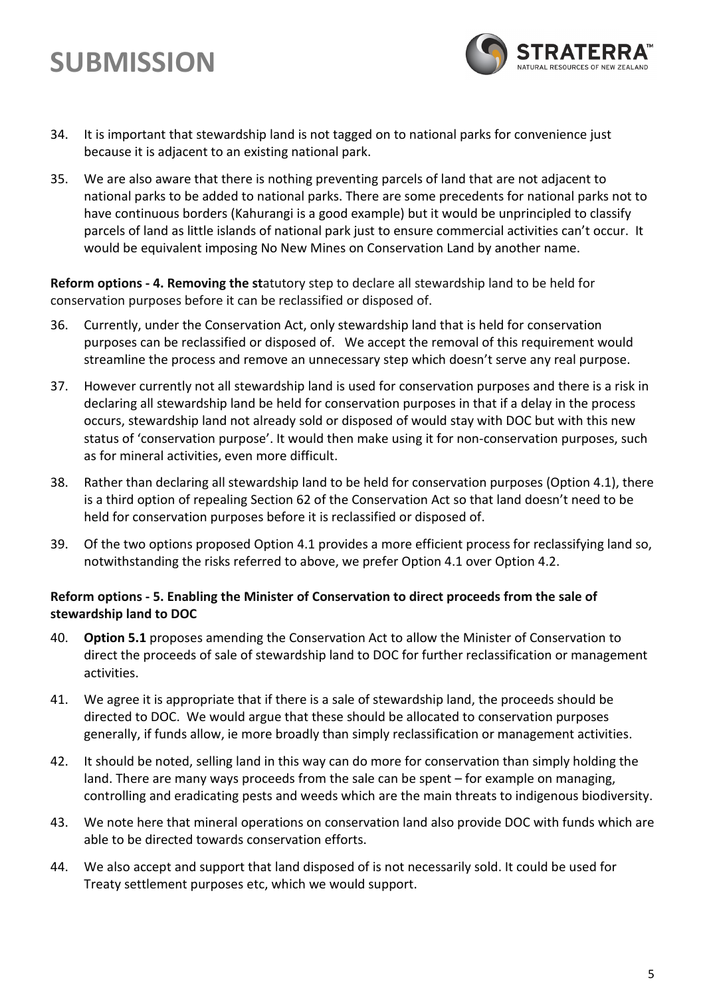# **SUBMISSION**

- 
- 34. It is important that stewardship land is not tagged on to national parks for convenience just because it is adjacent to an existing national park.
- 35. We are also aware that there is nothing preventing parcels of land that are not adjacent to national parks to be added to national parks. There are some precedents for national parks not to have continuous borders (Kahurangi is a good example) but it would be unprincipled to classify parcels of land as little islands of national park just to ensure commercial activities can't occur. It would be equivalent imposing No New Mines on Conservation Land by another name.

**Reform options - 4. Removing the st**atutory step to declare all stewardship land to be held for conservation purposes before it can be reclassified or disposed of.

- 36. Currently, under the Conservation Act, only stewardship land that is held for conservation purposes can be reclassified or disposed of. We accept the removal of this requirement would streamline the process and remove an unnecessary step which doesn't serve any real purpose.
- 37. However currently not all stewardship land is used for conservation purposes and there is a risk in declaring all stewardship land be held for conservation purposes in that if a delay in the process occurs, stewardship land not already sold or disposed of would stay with DOC but with this new status of 'conservation purpose'. It would then make using it for non-conservation purposes, such as for mineral activities, even more difficult.
- 38. Rather than declaring all stewardship land to be held for conservation purposes (Option 4.1), there is a third option of repealing Section 62 of the Conservation Act so that land doesn't need to be held for conservation purposes before it is reclassified or disposed of.
- 39. Of the two options proposed Option 4.1 provides a more efficient process for reclassifying land so, notwithstanding the risks referred to above, we prefer Option 4.1 over Option 4.2.

### **Reform options - 5. Enabling the Minister of Conservation to direct proceeds from the sale of stewardship land to DOC**

- 40. **Option 5.1** proposes amending the Conservation Act to allow the Minister of Conservation to direct the proceeds of sale of stewardship land to DOC for further reclassification or management activities.
- 41. We agree it is appropriate that if there is a sale of stewardship land, the proceeds should be directed to DOC. We would argue that these should be allocated to conservation purposes generally, if funds allow, ie more broadly than simply reclassification or management activities.
- 42. It should be noted, selling land in this way can do more for conservation than simply holding the land. There are many ways proceeds from the sale can be spent – for example on managing, controlling and eradicating pests and weeds which are the main threats to indigenous biodiversity.
- 43. We note here that mineral operations on conservation land also provide DOC with funds which are able to be directed towards conservation efforts.
- 44. We also accept and support that land disposed of is not necessarily sold. It could be used for Treaty settlement purposes etc, which we would support.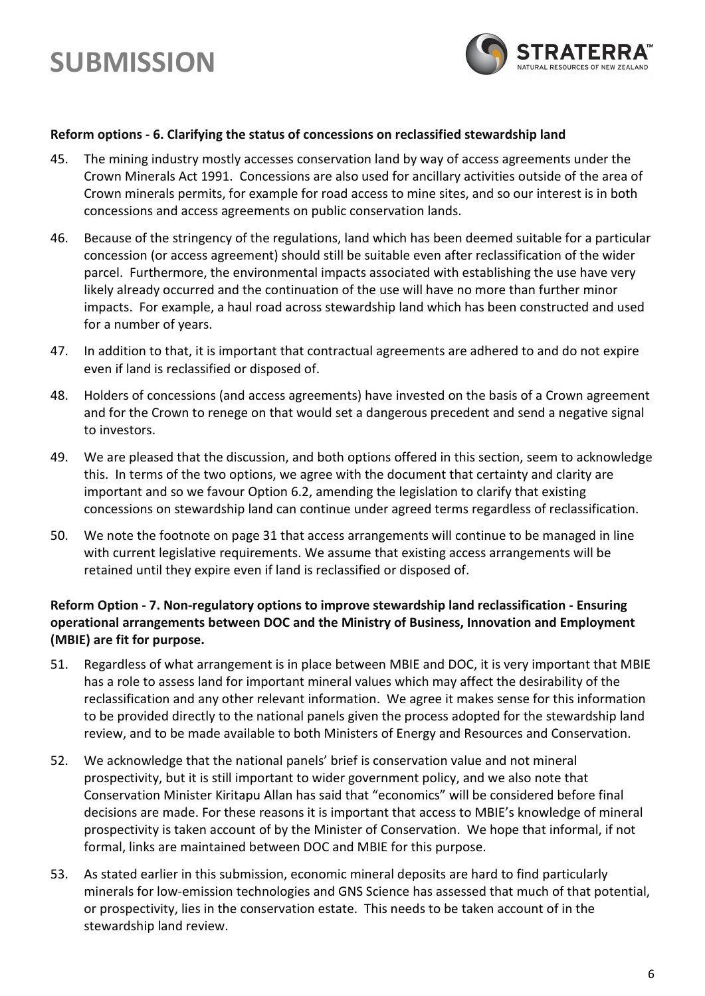

### **Reform options - 6. Clarifying the status of concessions on reclassified stewardship land**

- 45. The mining industry mostly accesses conservation land by way of access agreements under the Crown Minerals Act 1991. Concessions are also used for ancillary activities outside of the area of Crown minerals permits, for example for road access to mine sites, and so our interest is in both concessions and access agreements on public conservation lands.
- 46. Because of the stringency of the regulations, land which has been deemed suitable for a particular concession (or access agreement) should still be suitable even after reclassification of the wider parcel. Furthermore, the environmental impacts associated with establishing the use have very likely already occurred and the continuation of the use will have no more than further minor impacts. For example, a haul road across stewardship land which has been constructed and used for a number of years.
- 47. In addition to that, it is important that contractual agreements are adhered to and do not expire even if land is reclassified or disposed of.
- 48. Holders of concessions (and access agreements) have invested on the basis of a Crown agreement and for the Crown to renege on that would set a dangerous precedent and send a negative signal to investors.
- 49. We are pleased that the discussion, and both options offered in this section, seem to acknowledge this. In terms of the two options, we agree with the document that certainty and clarity are important and so we favour Option 6.2, amending the legislation to clarify that existing concessions on stewardship land can continue under agreed terms regardless of reclassification.
- 50. We note the footnote on page 31 that access arrangements will continue to be managed in line with current legislative requirements. We assume that existing access arrangements will be retained until they expire even if land is reclassified or disposed of.

### **Reform Option - 7. Non-regulatory options to improve stewardship land reclassification - Ensuring operational arrangements between DOC and the Ministry of Business, Innovation and Employment (MBIE) are fit for purpose.**

- 51. Regardless of what arrangement is in place between MBIE and DOC, it is very important that MBIE has a role to assess land for important mineral values which may affect the desirability of the reclassification and any other relevant information. We agree it makes sense for this information to be provided directly to the national panels given the process adopted for the stewardship land review, and to be made available to both Ministers of Energy and Resources and Conservation.
- 52. We acknowledge that the national panels' brief is conservation value and not mineral prospectivity, but it is still important to wider government policy, and we also note that Conservation Minister Kiritapu Allan has said that "economics" will be considered before final decisions are made. For these reasons it is important that access to MBIE's knowledge of mineral prospectivity is taken account of by the Minister of Conservation. We hope that informal, if not formal, links are maintained between DOC and MBIE for this purpose.
- 53. As stated earlier in this submission, economic mineral deposits are hard to find particularly minerals for low-emission technologies and GNS Science has assessed that much of that potential, or prospectivity, lies in the conservation estate. This needs to be taken account of in the stewardship land review.